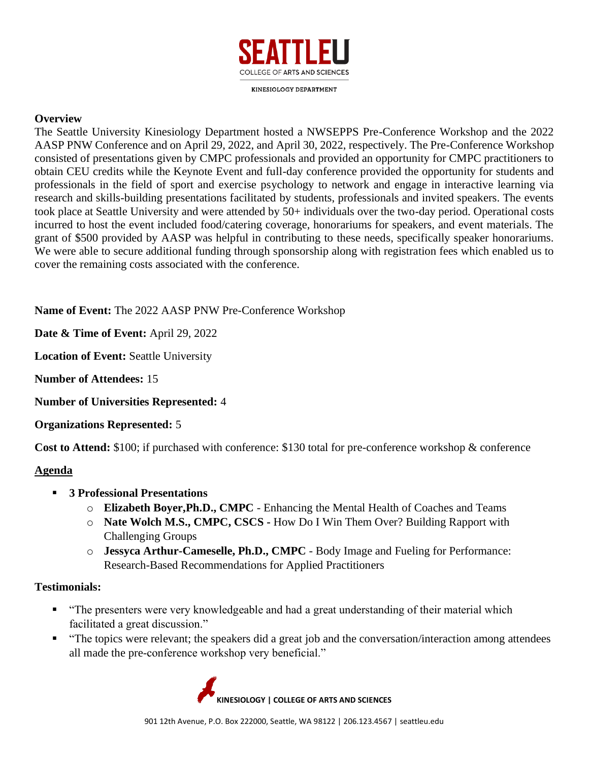

**KINESIOLOGY DEPARTMENT** 

#### **Overview**

The Seattle University Kinesiology Department hosted a NWSEPPS Pre-Conference Workshop and the 2022 AASP PNW Conference and on April 29, 2022, and April 30, 2022, respectively. The Pre-Conference Workshop consisted of presentations given by CMPC professionals and provided an opportunity for CMPC practitioners to obtain CEU credits while the Keynote Event and full-day conference provided the opportunity for students and professionals in the field of sport and exercise psychology to network and engage in interactive learning via research and skills-building presentations facilitated by students, professionals and invited speakers. The events took place at Seattle University and were attended by 50+ individuals over the two-day period. Operational costs incurred to host the event included food/catering coverage, honorariums for speakers, and event materials. The grant of \$500 provided by AASP was helpful in contributing to these needs, specifically speaker honorariums. We were able to secure additional funding through sponsorship along with registration fees which enabled us to cover the remaining costs associated with the conference.

**Name of Event:** The 2022 AASP PNW Pre-Conference Workshop

**Date & Time of Event:** April 29, 2022

**Location of Event:** Seattle University

**Number of Attendees:** 15

**Number of Universities Represented:** 4

**Organizations Represented:** 5

**Cost to Attend:** \$100; if purchased with conference: \$130 total for pre-conference workshop & conference

# **Agenda**

- **3 Professional Presentations** 
	- o **Elizabeth Boyer,Ph.D., CMPC** Enhancing the Mental Health of Coaches and Teams
	- o **Nate Wolch M.S., CMPC, CSCS -** How Do I Win Them Over? Building Rapport with Challenging Groups
	- o **Jessyca Arthur-Cameselle, Ph.D., CMPC** Body Image and Fueling for Performance: Research-Based Recommendations for Applied Practitioners

## **Testimonials:**

- "The presenters were very knowledgeable and had a great understanding of their material which facilitated a great discussion."
- "The topics were relevant; the speakers did a great job and the conversation/interaction among attendees all made the pre-conference workshop very beneficial."

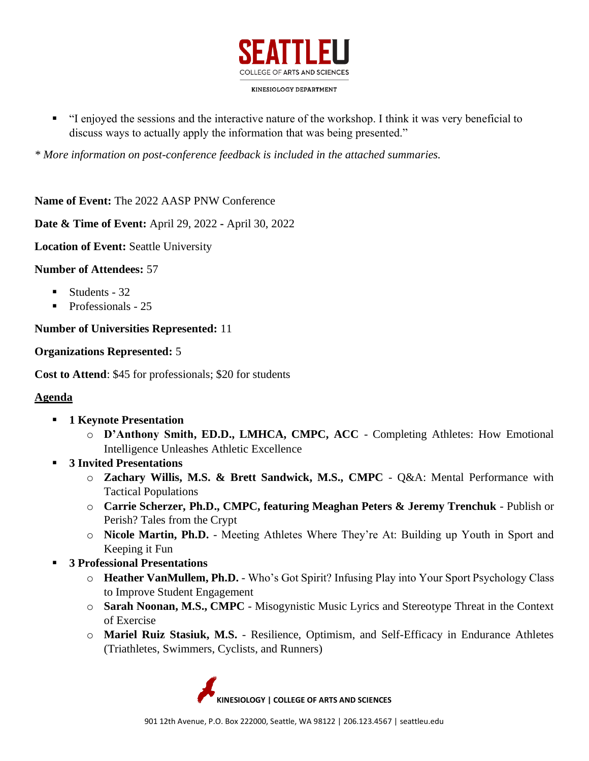

▪ "I enjoyed the sessions and the interactive nature of the workshop. I think it was very beneficial to discuss ways to actually apply the information that was being presented."

*\* More information on post-conference feedback is included in the attached summaries.* 

**Name of Event:** The 2022 AASP PNW Conference

**Date & Time of Event:** April 29, 2022 **-** April 30, 2022

**Location of Event:** Seattle University

**Number of Attendees:** 57

- Students 32
- Professionals 25

**Number of Universities Represented:** 11

## **Organizations Represented:** 5

**Cost to Attend**: \$45 for professionals; \$20 for students

## **Agenda**

- **1 Keynote Presentation** 
	- o **D'Anthony Smith, ED.D., LMHCA, CMPC, ACC** Completing Athletes: How Emotional Intelligence Unleashes Athletic Excellence
- **3 Invited Presentations**
	- o **Zachary Willis, M.S. & Brett Sandwick, M.S., CMPC** Q&A: Mental Performance with Tactical Populations
	- o **Carrie Scherzer, Ph.D., CMPC, featuring Meaghan Peters & Jeremy Trenchuk**  Publish or Perish? Tales from the Crypt
	- o **Nicole Martin, Ph.D.** Meeting Athletes Where They're At: Building up Youth in Sport and Keeping it Fun
- **3 Professional Presentations** 
	- o **Heather VanMullem, Ph.D.** Who's Got Spirit? Infusing Play into Your Sport Psychology Class to Improve Student Engagement
	- o **Sarah Noonan, M.S., CMPC** Misogynistic Music Lyrics and Stereotype Threat in the Context of Exercise
	- o **Mariel Ruiz Stasiuk, M.S.** Resilience, Optimism, and Self-Efficacy in Endurance Athletes (Triathletes, Swimmers, Cyclists, and Runners)